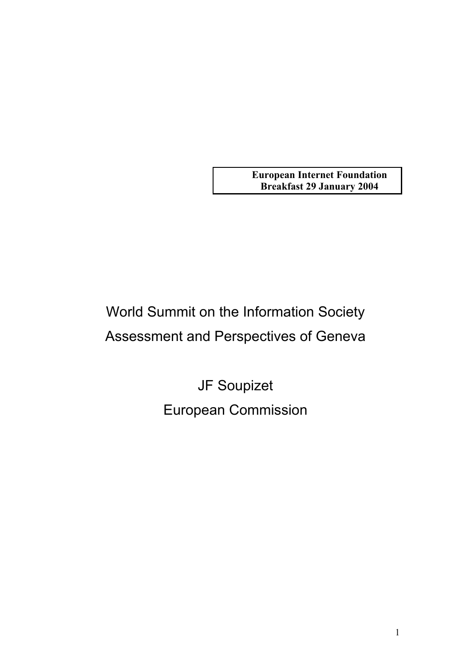**European Internet Foundation Breakfast 29 January 2004**

# World Summit on the Information Society Assessment and Perspectives of Geneva

JF Soupizet European Commission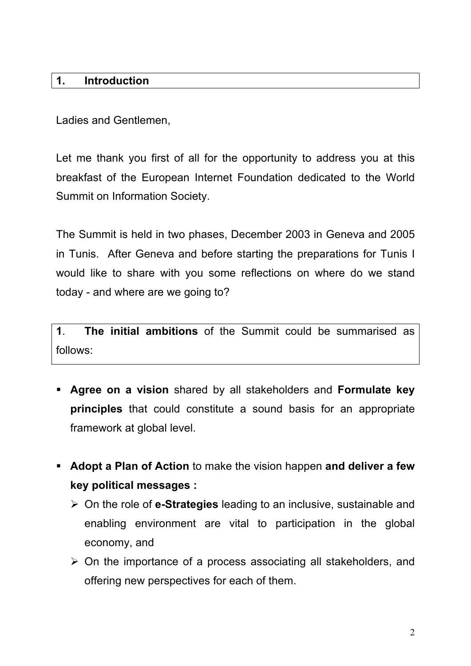### **1. Introduction**

Ladies and Gentlemen,

Let me thank you first of all for the opportunity to address you at this breakfast of the European Internet Foundation dedicated to the World Summit on Information Society.

The Summit is held in two phases, December 2003 in Geneva and 2005 in Tunis. After Geneva and before starting the preparations for Tunis I would like to share with you some reflections on where do we stand today - and where are we going to?

**1**. **The initial ambitions** of the Summit could be summarised as follows:

- **Agree on a vision** shared by all stakeholders and **Formulate key principles** that could constitute a sound basis for an appropriate framework at global level.
- **Adopt a Plan of Action** to make the vision happen **and deliver a few key political messages :**
	- On the role of **e-Strategies** leading to an inclusive, sustainable and enabling environment are vital to participation in the global economy, and
	- $\triangleright$  On the importance of a process associating all stakeholders, and offering new perspectives for each of them.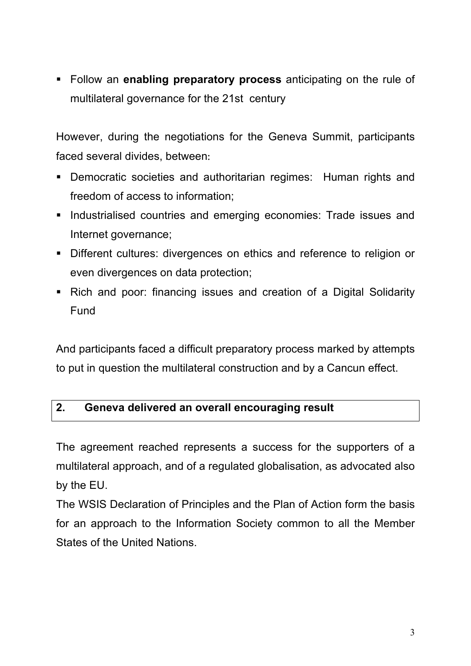Follow an **enabling preparatory process** anticipating on the rule of multilateral governance for the 21st century

However, during the negotiations for the Geneva Summit, participants faced several divides, between:

- Democratic societies and authoritarian regimes: Human rights and freedom of access to information;
- **Industrialised countries and emerging economies: Trade issues and** Internet governance;
- Different cultures: divergences on ethics and reference to religion or even divergences on data protection;
- Rich and poor: financing issues and creation of a Digital Solidarity Fund

And participants faced a difficult preparatory process marked by attempts to put in question the multilateral construction and by a Cancun effect.

#### **2. Geneva delivered an overall encouraging result**

The agreement reached represents a success for the supporters of a multilateral approach, and of a regulated globalisation, as advocated also by the EU.

The WSIS Declaration of Principles and the Plan of Action form the basis for an approach to the Information Society common to all the Member States of the United Nations.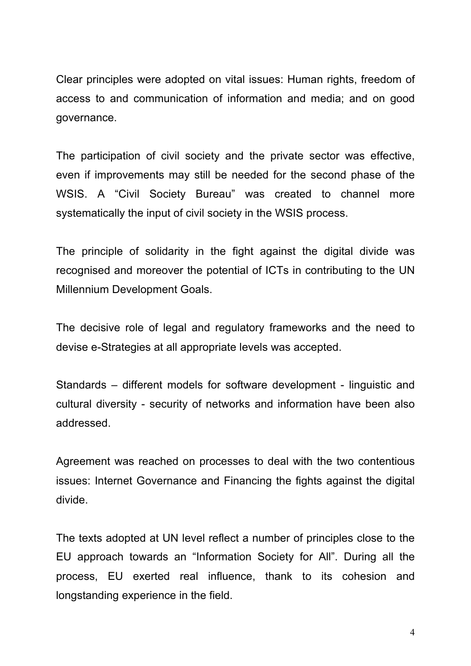Clear principles were adopted on vital issues: Human rights, freedom of access to and communication of information and media; and on good governance.

The participation of civil society and the private sector was effective, even if improvements may still be needed for the second phase of the WSIS. A "Civil Society Bureau" was created to channel more systematically the input of civil society in the WSIS process.

The principle of solidarity in the fight against the digital divide was recognised and moreover the potential of ICTs in contributing to the UN Millennium Development Goals.

The decisive role of legal and regulatory frameworks and the need to devise e-Strategies at all appropriate levels was accepted.

Standards – different models for software development - linguistic and cultural diversity - security of networks and information have been also addressed.

Agreement was reached on processes to deal with the two contentious issues: Internet Governance and Financing the fights against the digital divide.

The texts adopted at UN level reflect a number of principles close to the EU approach towards an "Information Society for All". During all the process, EU exerted real influence, thank to its cohesion and longstanding experience in the field.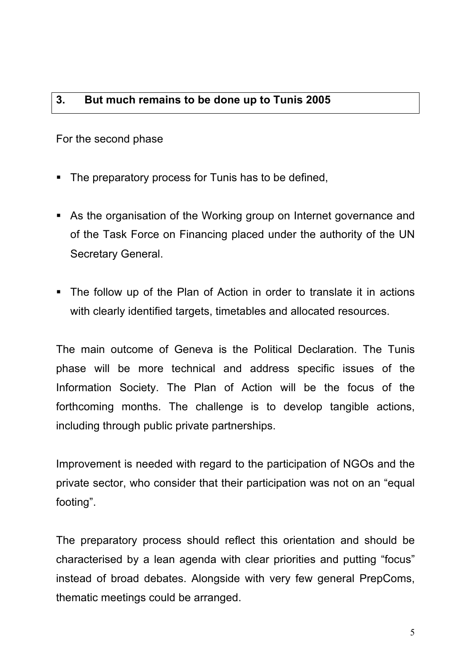## **3. But much remains to be done up to Tunis 2005**

For the second phase

- The preparatory process for Tunis has to be defined,
- As the organisation of the Working group on Internet governance and of the Task Force on Financing placed under the authority of the UN Secretary General.
- The follow up of the Plan of Action in order to translate it in actions with clearly identified targets, timetables and allocated resources.

The main outcome of Geneva is the Political Declaration. The Tunis phase will be more technical and address specific issues of the Information Society. The Plan of Action will be the focus of the forthcoming months. The challenge is to develop tangible actions, including through public private partnerships.

Improvement is needed with regard to the participation of NGOs and the private sector, who consider that their participation was not on an "equal footing".

The preparatory process should reflect this orientation and should be characterised by a lean agenda with clear priorities and putting "focus" instead of broad debates. Alongside with very few general PrepComs, thematic meetings could be arranged.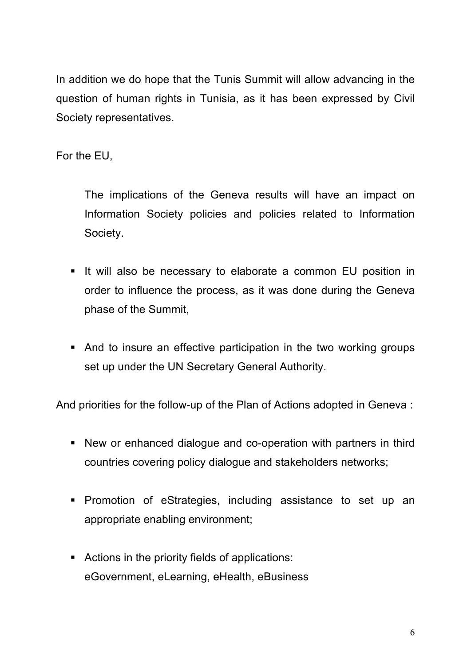In addition we do hope that the Tunis Summit will allow advancing in the question of human rights in Tunisia, as it has been expressed by Civil Society representatives.

For the EU,

 The implications of the Geneva results will have an impact on Information Society policies and policies related to Information Society.

- If will also be necessary to elaborate a common EU position in order to influence the process, as it was done during the Geneva phase of the Summit,
- And to insure an effective participation in the two working groups set up under the UN Secretary General Authority.

And priorities for the follow-up of the Plan of Actions adopted in Geneva :

- New or enhanced dialogue and co-operation with partners in third countries covering policy dialogue and stakeholders networks;
- **Promotion of eStrategies, including assistance to set up an** appropriate enabling environment;
- Actions in the priority fields of applications: eGovernment, eLearning, eHealth, eBusiness